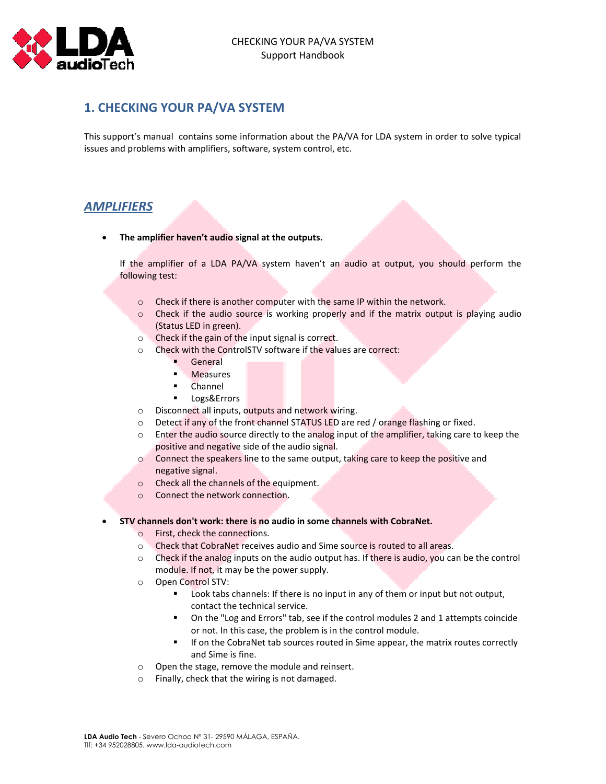

# **1. CHECKING YOUR PA/VA SYSTEM**

This support's manual contains some information about the PA/VA for LDA system in order to solve typical issues and problems with amplifiers, software, system control, etc.

## *AMPLIFIERS*

**The amplifier haven't audio signal at the outputs.**

If the amplifier of a LDA PA/VA system haven't an audio at output, you should perform the following test:

- o Check if there is another computer with the same IP within the network.
- $\circ$  Check if the audio source is working properly and if the matrix output is playing audio (Status LED in green).
- o Check if the gain of the input signal is correct.
- o Check with the ControlSTV software if the values are correct:
	- General
	- **Measures**
	- **Channel**
	- **Logs&Errors**
- o Disconnect all inputs, outputs and network wiring.
- o Detect if any of the front channel STATUS LED are red / orange flashing or fixed.
- o Enter the audio source directly to the analog input of the amplifier, taking care to keep the positive and negative side of the audio signal.
- $\circ$  Connect the speakers line to the same output, taking care to keep the positive and negative signal.
- o Check all the channels of the equipment.
- o Connect the network connection.

### **STV channels don't work: there is no audio in some channels with CobraNet.**

- o First, check the connections.
- o Check that CobraNet receives audio and Sime source is routed to all areas.
- $\circ$  Check if the analog inputs on the audio output has. If there is audio, you can be the control module. If not, it may be the power supply.
- o Open Control STV:
	- Look tabs channels: If there is no input in any of them or input but not output, contact the technical service.
	- On the "Log and Errors" tab, see if the control modules 2 and 1 attempts coincide or not. In this case, the problem is in the control module.
	- **If on the CobraNet tab sources routed in Sime appear, the matrix routes correctly** and Sime is fine.
- o Open the stage, remove the module and reinsert.
- o Finally, check that the wiring is not damaged.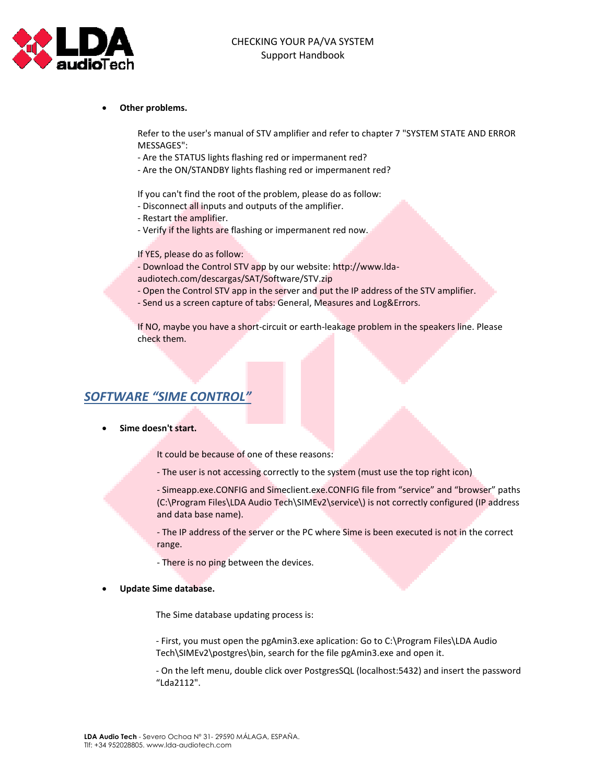

#### **Other problems.**

Refer to the user's manual of STV amplifier and refer to chapter 7 "SYSTEM STATE AND ERROR MESSAGES":

- Are the STATUS lights flashing red or impermanent red?

- Are the ON/STANDBY lights flashing red or impermanent red?

If you can't find the root of the problem, please do as follow:

- Disconnect all inputs and outputs of the amplifier.
- Restart the amplifier.
- Verify if the lights are flashing or impermanent red now.

If YES, please do as follow:

- Download the Control STV app by our website: http://www.lda-
- audiotech.com/descargas/SAT/Software/STV.zip
- Open the Control STV app in the server and put the IP address of the STV amplifier.
- Send us a screen capture of tabs: General, Measures and Log&Errors.

If NO, maybe you have a short-circuit or earth-leakage problem in the speakers line. Please check them.

### *SOFTWARE "SIME CONTROL"*

**Sime doesn't start.**

It could be because of one of these reasons:

- The user is not accessing correctly to the system (must use the top right icon)

- Simeapp.exe.CONFIG and Simeclient.exe.CONFIG file from "service" and "browser" paths (C:\Program Files\LDA Audio Tech\SIMEv2\service\) is not correctly configured (IP address and data base name).

- The IP address of the server or the PC where Sime is been executed is not in the correct range.

- There is no ping between the devices.

#### **Update Sime database.**

The Sime database updating process is:

- First, you must open the pgAmin3.exe aplication: Go to C:\Program Files\LDA Audio Tech\SIMEv2\postgres\bin, search for the file pgAmin3.exe and open it.

- On the left menu, double click over PostgresSQL (localhost:5432) and insert the password "Lda2112".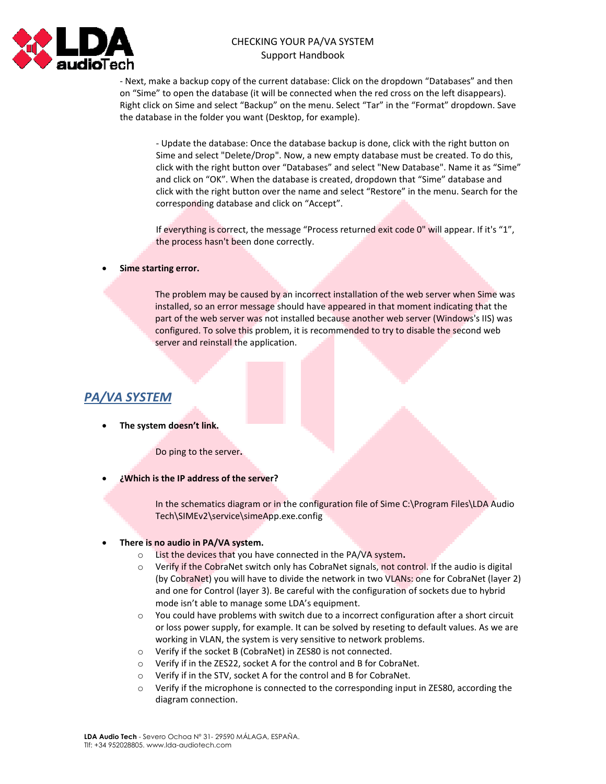

### CHECKING YOUR PA/VA SYSTEM Support Handbook

- Next, make a backup copy of the current database: Click on the dropdown "Databases" and then on "Sime" to open the database (it will be connected when the red cross on the left disappears). Right click on Sime and select "Backup" on the menu. Select "Tar" in the "Format" dropdown. Save the database in the folder you want (Desktop, for example).

- Update the database: Once the database backup is done, click with the right button on Sime and select "Delete/Drop". Now, a new empty database must be created. To do this, click with the right button over "Databases" and select "New Database". Name it as "Sime" and click on "OK". When the database is created, dropdown that "Sime" database and click with the right button over the name and select "Restore" in the menu. Search for the corresponding database and click on "Accept".

If everything is correct, the message "Process returned exit code 0" will appear. If it's "1", the process hasn't been done correctly.

#### **Sime starting error.**

The problem may be caused by an incorrect installation of the web server when Sime was installed, so an error message should have appeared in that moment indicating that the part of the web server was not installed because another web server (Windows's IIS) was configured. To solve this problem, it is recommended to try to disable the second web server and reinstall the application.

# *PA/VA SYSTEM*

**The system doesn't link.**

Do ping to the server**.**

**¿Which is the IP address of the server?**

In the schematics diagram or in the configuration file of Sime C:\Program Files\LDA Audio Tech\SIMEv2\service\simeApp.exe.config

### **There is no audio in PA/VA system.**

- o List the devices that you have connected in the PA/VA system**.**
- $\circ$  Verify if the CobraNet switch only has CobraNet signals, not control. If the audio is digital (by CobraNet) you will have to divide the network in two VLANs: one for CobraNet (layer 2) and one for Control (layer 3). Be careful with the configuration of sockets due to hybrid mode isn't able to manage some LDA's equipment.
- o You could have problems with switch due to a incorrect configuration after a short circuit or loss power supply, for example. It can be solved by reseting to default values. As we are working in VLAN, the system is very sensitive to network problems.
- o Verify if the socket B (CobraNet) in ZES80 is not connected.
- o Verify if in the ZES22, socket A for the control and B for CobraNet.
- o Verify if in the STV, socket A for the control and B for CobraNet.
- $\circ$  Verify if the microphone is connected to the corresponding input in ZES80, according the diagram connection.